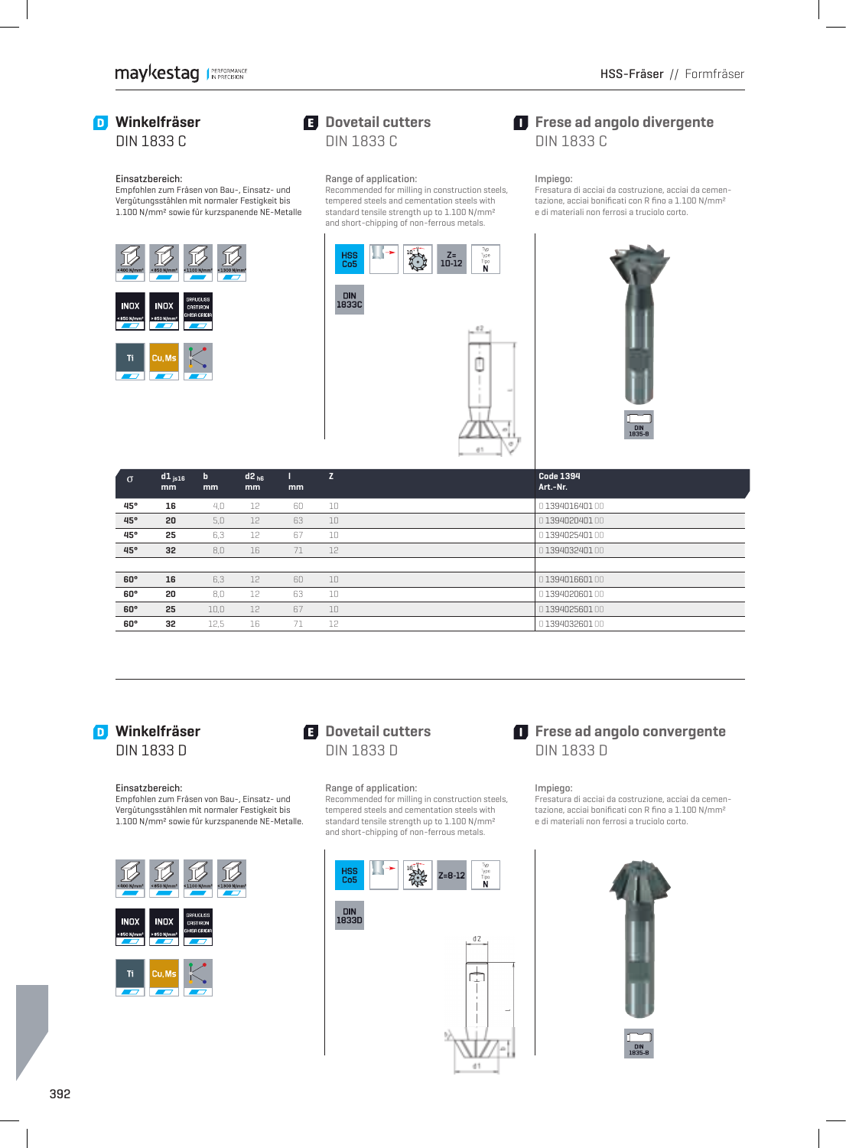# **Winkelfräser**

DIN 1833 C

#### Einsatzbereich:

 Empfohlen zum Fräsen von Bau-, Einsatz- und Vergütungsstählen mit normaler Festigkeit bis 1.100 N/mm² sowie für kurzspanende NE-Metalle



### **E** Dovetail cutters DIN 1833 C

#### Range of application:

Recommended for milling in construction steels, tempered steels and cementation steels with standard tensile strength up to 1.100 N/mm² and short-chipping of non-ferrous metals.



### $\blacksquare$  Frese ad angolo divergente DIN 1833 C

#### Impiego:

Fresatura di acciai da costruzione, acciai da cementazione, acciai bonificati con R fino a 1.100 N/mm<sup>2</sup> e di materiali non ferrosi a truciolo corto.



| $\sigma$   | $d1_{is16}$<br>mm | b<br>mm | $d2_{h6}$<br>mm | mm | Z. | <b>Code 1394</b><br>Art.-Nr. |  |
|------------|-------------------|---------|-----------------|----|----|------------------------------|--|
| 45°        | 16                | 4.0     | 12              | 60 | 10 | 0139401640100                |  |
| 45°        | 20                | 5.0     | 12              | 63 | 10 | 0139402040100                |  |
| 45°        | 25                | 6,3     | 12              | 67 | 10 | 0139402540100                |  |
| 45°        | 32                | 8,0     | 16              | 71 | 12 | 0139403240100                |  |
|            |                   |         |                 |    |    |                              |  |
| $60^\circ$ | 16                | 6.3     | 12              | 60 | 10 | 0139401660100                |  |
| $60^\circ$ | 20                | 8.0     | 12              | 63 | 10 | 0139402060100                |  |
| $60^\circ$ | 25                | 10,0    | 12              | 67 | 10 | 0139402560100                |  |
| $60^\circ$ | 32                | 12,5    | 16              | 71 | 12 | 0139403260100                |  |

# **Winkelfräser**

DIN 1833 D

#### Einsatzbereich:

 Empfohlen zum Fräsen von Bau-, Einsatz- und Vergütungsstählen mit normaler Festigkeit bis 1.100 N/mm² sowie für kurzspanende NE-Metalle.



## **El** Dovetail cutters DIN 1833 D

#### Range of application:

Recommended for milling in construction steels, tempered steels and cementation steels with standard tensile strength up to 1.100 N/mm² and short-chipping of non-ferrous metals.



# 1833D



d1

## $\blacksquare$  Frese ad angolo convergente DIN 1833 D

Impiego:

Fresatura di acciai da costruzione, acciai da cementazione, acciai bonificati con R fino a 1.100 N/mm<sup>2</sup> e di materiali non ferrosi a truciolo corto.